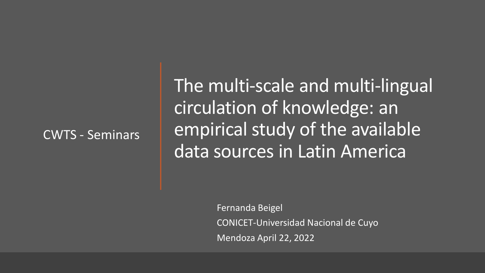### CWTS - Seminars

The multi-scale and multi-lingual circulation of knowledge: an empirical study of the available data sources in Latin America

> Fernanda Beigel CONICET-Universidad Nacional de Cuyo Mendoza April 22, 2022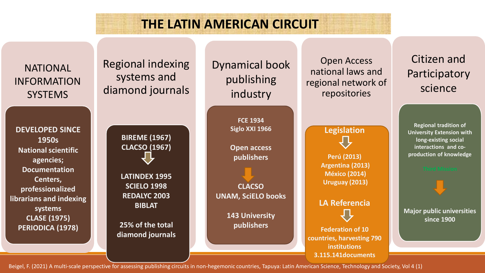# **THE LATIN AMERICAN CIRCUIT**



Beigel, F. (2021) A multi-scale perspective for assessing publishing circuits in non-hegemonic countries, Tapuya: Latin American Science, Technology and Society, Vol 4 (1)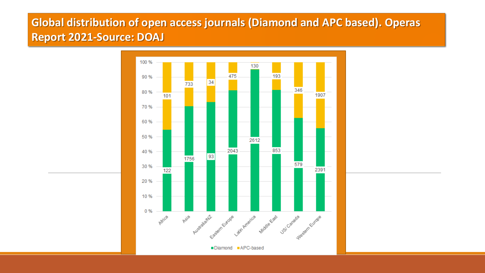## **Global distribution of open access journals (Diamond and APC based). Operas Report 2021-Source: DOAJ**

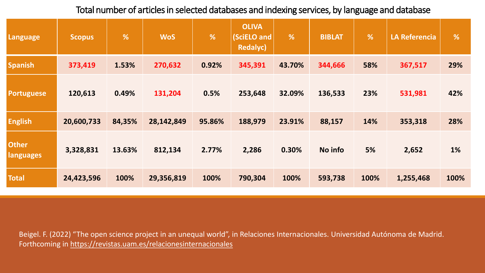Total number of articles in selected databases and indexing services, by language and database

| Language                         | <b>Scopus</b> | %      | <b>WoS</b> | %      | <b>OLIVA</b><br>(SciELO and<br><b>Redalyc)</b> | $\sqrt{26}$ | <b>BIBLAT</b> | $\sqrt{2}$ | <b>LA Referencia</b> | %         |
|----------------------------------|---------------|--------|------------|--------|------------------------------------------------|-------------|---------------|------------|----------------------|-----------|
| <b>Spanish</b>                   | 373,419       | 1.53%  | 270,632    | 0.92%  | 345,391                                        | 43.70%      | 344,666       | 58%        | 367,517              | 29%       |
| <b>Portuguese</b>                | 120,613       | 0.49%  | 131,204    | 0.5%   | 253,648                                        | 32.09%      | 136,533       | 23%        | 531,981              | 42%       |
| <b>English</b>                   | 20,600,733    | 84,35% | 28,142,849 | 95.86% | 188,979                                        | 23.91%      | 88,157        | 14%        | 353,318              | 28%       |
| <b>Other</b><br><b>languages</b> | 3,328,831     | 13.63% | 812,134    | 2.77%  | 2,286                                          | 0.30%       | No info       | 5%         | 2,652                | <b>1%</b> |
| <b>Total</b>                     | 24,423,596    | 100%   | 29,356,819 | 100%   | 790,304                                        | 100%        | 593,738       | 100%       | 1,255,468            | 100%      |

Beigel. F. (2022) "The open science project in an unequal world", in Relaciones Internacionales. Universidad Autónoma de Madrid. Forthcoming in<https://revistas.uam.es/relacionesinternacionales>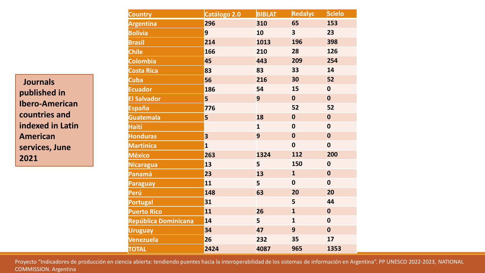**Journals published in Ibero-American countries and indexed in Latin American services, June 2021**

| <b>Country</b>       | Catálogo 2.0 | <b>BIBLAT</b> | <b>Redalyc</b>          | <b>Scielo</b> |
|----------------------|--------------|---------------|-------------------------|---------------|
| <b>Argentina</b>     | 296          | 310           | 65                      | 153           |
| <b>Bolivia</b>       | 9            | 10            | $\overline{\mathbf{3}}$ | 23            |
| <b>Brasil</b>        | 214          | 1013          | 196                     | 398           |
| <b>Chile</b>         | 166          | 210           | 28                      | 126           |
| <b>Colombia</b>      | 45           | 443           | 209                     | 254           |
| <b>Costa Rica</b>    | 83           | 83            | 33                      | 14            |
| <b>Cuba</b>          | 56           | 216           | 30                      | 52            |
| <b>Ecuador</b>       | 186          | 54            | 15                      | $\bf{0}$      |
| <b>El Salvador</b>   | 5            | 9             | $\mathbf 0$             | $\mathbf 0$   |
| <b>España</b>        | 776          |               | 52                      | 52            |
| <b>Guatemala</b>     | 5            | 18            | $\mathbf 0$             | $\mathbf 0$   |
| <b>Haití</b>         |              | $\mathbf{1}$  | $\bf{0}$                | $\bf{0}$      |
| <b>Honduras</b>      | 3            | 9             | $\boldsymbol{0}$        | $\mathbf 0$   |
| <b>Martinica</b>     | $\mathbf{1}$ |               | $\bf{0}$                | $\bf{0}$      |
| <b>México</b>        | 263          | 1324          | 112                     | 200           |
| <b>Nicaragua</b>     | 13           | 5             | <b>150</b>              | $\bf{0}$      |
| Panamá               | 23           | 13            | $\mathbf{1}$            | $\bf{0}$      |
| <b>Paraguay</b>      | 11           | 5             | $\bf{0}$                | $\bf{0}$      |
| Perú                 | 148          | 63            | 20                      | 20            |
| Portugal             | 31           |               | 5                       | 44            |
| <b>Puerto Rico</b>   | 11           | 26            | $\mathbf{1}$            | $\mathbf 0$   |
| República Dominicana | 14           | 5             | $\mathbf{1}$            | $\bf{0}$      |
| <b>Uruguay</b>       | 34           | 47            | 9                       | $\mathbf 0$   |
| Venezuela            | 26           | 232           | 35                      | 17            |
| <b>TOTAL</b>         | 2424         | 4087          | 965                     | 1353          |

Proyecto "Indicadores de producción en ciencia abierta: tendiendo puentes hacia la interoperabilidad de los sistemas de información en Argentina". PP UNESCO 2022-2023, NATIONAL COMMISSION. Argentina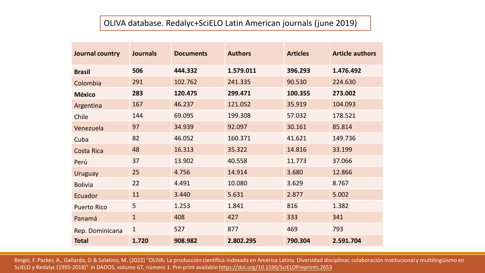#### OLIVA database. Redalyc+SciELO Latin American journals (june 2019)

| Journal country    | <b>Journals</b> | <b>Documents</b> | <b>Authors</b> | <b>Articles</b> | <b>Article authors</b> |
|--------------------|-----------------|------------------|----------------|-----------------|------------------------|
| <b>Brasil</b>      | 506             | 444.332          | 1.579.011      | 396.293         | 1.476.492              |
| Colombia           | 291             | 102.762          | 241.335        | 90.530          | 224.630                |
| <b>México</b>      | 283             | 120.475          | 299.471        | 100.355         | 273.002                |
| Argentina          | 167             | 46.237           | 121.052        | 35.919          | 104.093                |
| Chile              | 144             | 69.095           | 199.308        | 57.032          | 178.521                |
| Venezuela          | 97              | 34.939           | 92.097         | 30.161          | 85.814                 |
| Cuba               | 82              | 46.052           | 160.371        | 41.621          | 149.736                |
| Costa Rica         | 48              | 16.313           | 35.322         | 14.816          | 33.199                 |
| Perú               | 37              | 13.902           | 40.558         | 11.773          | 37.066                 |
| <b>Uruguay</b>     | 25              | 4.756            | 14.914         | 3.680           | 12.866                 |
| <b>Bolivia</b>     | 22              | 4.491            | 10.080         | 3.629           | 8.767                  |
| Ecuador            | 11              | 3.440            | 5.631          | 2.877           | 5.002                  |
| <b>Puerto Rico</b> | 5               | 1.253            | 1.841          | 816             | 1.382                  |
| Panamá             | $\mathbf{1}$    | 408              | 427            | 333             | 341                    |
| Rep. Dominicana    | $\mathbf{1}$    | 527              | 877            | 469             | 793                    |
| <b>Total</b>       | 1.720           | 908.982          | 2.802.295      | 790.304         | 2.591.704              |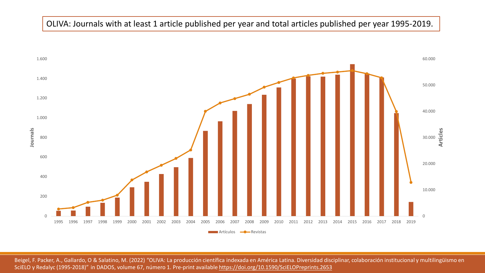#### OLIVA: Journals with at least 1 article published per year and total articles published per year 1995-2019.

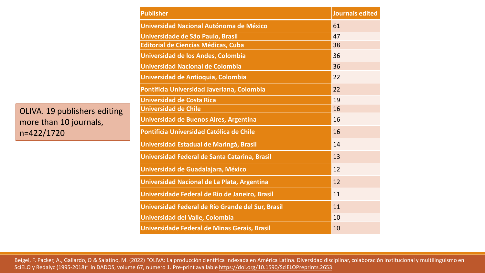OLIVA. 19 publishers editing more than 10 journals, n=422/1720

| <b>Publisher</b>                                  | <b>Journals edited</b> |
|---------------------------------------------------|------------------------|
| Universidad Nacional Autónoma de México           | 61                     |
| Universidade de São Paulo, Brasil                 | 47                     |
| <b>Editorial de Ciencias Médicas, Cuba</b>        | 38                     |
| Universidad de los Andes, Colombia                | 36                     |
| <b>Universidad Nacional de Colombia</b>           | 36                     |
| Universidad de Antioquia, Colombia                | 22                     |
| Pontificia Universidad Javeriana, Colombia        | 22                     |
| <b>Universidad de Costa Rica</b>                  | 19                     |
| <b>Universidad de Chile</b>                       | 16                     |
| Universidad de Buenos Aires, Argentina            | 16                     |
| Pontificia Universidad Católica de Chile          | 16                     |
| Universidad Estadual de Maringá, Brasil           | 14                     |
| Universidad Federal de Santa Catarina, Brasil     | 13                     |
| Universidad de Guadalajara, México                | 12                     |
| Universidad Nacional de La Plata, Argentina       | 12                     |
| Universidade Federal de Rio de Janeiro, Brasil    | 11                     |
| Universidad Federal de Río Grande del Sur, Brasil | 11                     |
| Universidad del Valle, Colombia                   | 10                     |
| Universidade Federal de Minas Gerais, Brasil      | 10                     |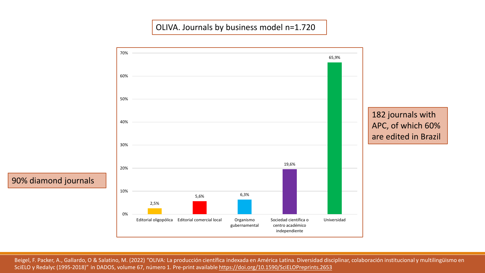#### OLIVA. Journals by business model n=1.720

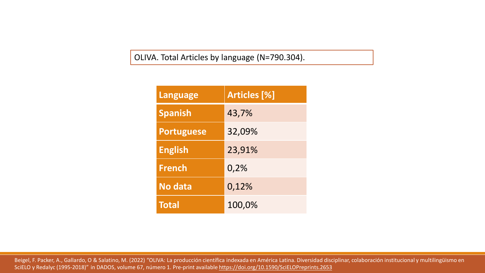OLIVA. Total Articles by language (N=790.304).

| <b>Language</b>   | <b>Articles [%]</b> |
|-------------------|---------------------|
| <b>Spanish</b>    | 43,7%               |
| <b>Portuguese</b> | 32,09%              |
| <b>English</b>    | 23,91%              |
| <b>French</b>     | 0,2%                |
| <b>No data</b>    | 0,12%               |
| <b>Total</b>      | 100,0%              |

Beigel, F. Packer, A., Gallardo, O & Salatino, M. (2022) "OLIVA: La producción científica indexada en América Latina. Diversidad disciplinar, colaboración institucional y multilingüismo en SciELO y Redalyc (1995-2018)" in DADOS, volume 67, número 1. Pre-print available <https://doi.org/10.1590/SciELOPreprints.2653>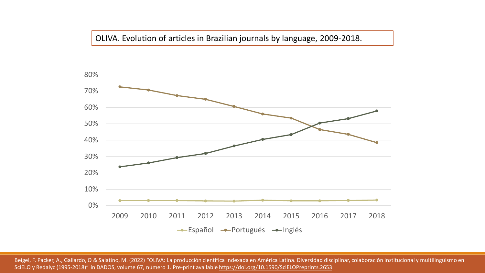#### OLIVA. Evolution of articles in Brazilian journals by language, 2009-2018.

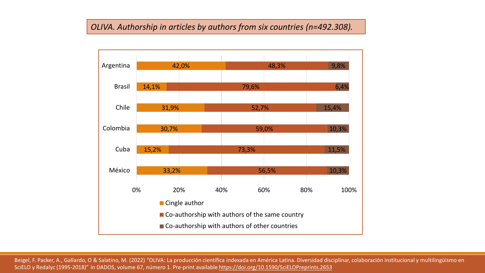#### *OLIVA. Authorship in articles by authors from six countries (n=492.308).*

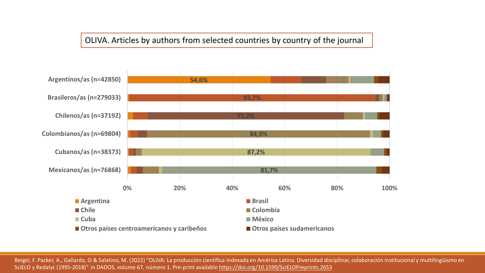#### OLIVA. Articles by authors from selected countries by country of the journal

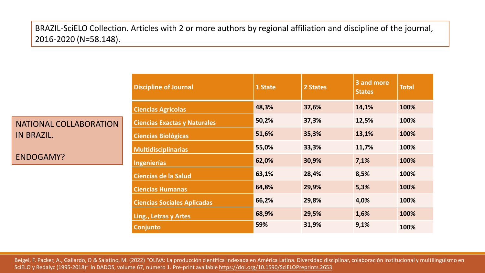BRAZIL-SciELO Collection. Articles with 2 or more authors by regional affiliation and discipline of the journal, 2016-2020 (N=58.148).

|                               | <b>Discipline of Journal</b>        | 1 State | 2 States | 3 and more<br><b>States</b> | <b>Total</b> |
|-------------------------------|-------------------------------------|---------|----------|-----------------------------|--------------|
|                               | <b>Ciencias Agrícolas</b>           | 48,3%   | 37,6%    | 14,1%                       | 100%         |
| <b>NATIONAL COLLABORATION</b> | <b>Ciencias Exactas y Naturales</b> | 50,2%   | 37,3%    | 12,5%                       | 100%         |
| <b>IN BRAZIL.</b>             | <b>Ciencias Biológicas</b>          | 51,6%   | 35,3%    | 13,1%                       | 100%         |
|                               | <b>Multidisciplinarias</b>          | 55,0%   | 33,3%    | 11,7%                       | 100%         |
| ENDOGAMY?                     | <b>Ingenierías</b>                  | 62,0%   | 30,9%    | 7,1%                        | 100%         |
|                               | <b>Ciencias de la Salud</b>         | 63,1%   | 28,4%    | 8,5%                        | 100%         |
|                               | <b>Ciencias Humanas</b>             | 64,8%   | 29,9%    | 5,3%                        | 100%         |
|                               | <b>Ciencias Sociales Aplicadas</b>  | 66,2%   | 29,8%    | 4,0%                        | 100%         |
|                               | Ling., Letras y Artes               | 68,9%   | 29,5%    | 1,6%                        | 100%         |
|                               | Conjunto                            | 59%     | 31,9%    | 9,1%                        | 100%         |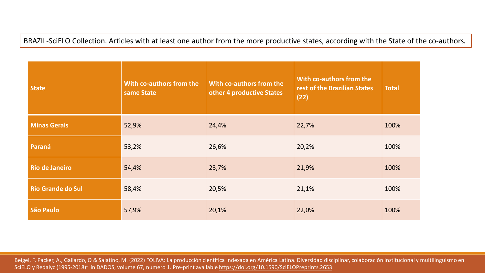BRAZIL-SciELO Collection. Articles with at least one author from the more productive states, according with the State of the co-authors*.*

| <b>State</b>             | With co-authors from the<br>same State | With co-authors from the<br>other 4 productive States | With co-authors from the<br>rest of the Brazilian States<br>(22) | <b>Total</b> |
|--------------------------|----------------------------------------|-------------------------------------------------------|------------------------------------------------------------------|--------------|
| <b>Minas Gerais</b>      | 52,9%                                  | 24,4%                                                 | 22,7%                                                            | 100%         |
| Paraná                   | 53,2%                                  | 26,6%                                                 | 20,2%                                                            | 100%         |
| <b>Rio de Janeiro</b>    | 54,4%                                  | 23,7%                                                 | 21,9%                                                            | 100%         |
| <b>Rio Grande do Sul</b> | 58,4%                                  | 20,5%                                                 | 21,1%                                                            | 100%         |
| São Paulo                | 57,9%                                  | 20,1%                                                 | 22,0%                                                            | 100%         |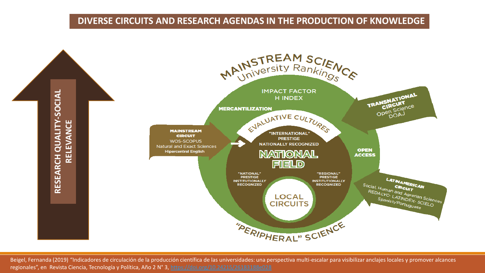#### **DIVERSE CIRCUITS AND RESEARCH AGENDAS IN THE PRODUCTION OF KNOWLEDGE**



Beigel, Fernanda (2019) "Indicadores de circulación de la producción científica de las universidades: una perspectiva multi-escalar para visibilizar anclajes locales y promover alcances regionales", en Revista Ciencia, Tecnología y Política, Año 2 N° 3, <https://doi.org/10.24215/26183188e028>